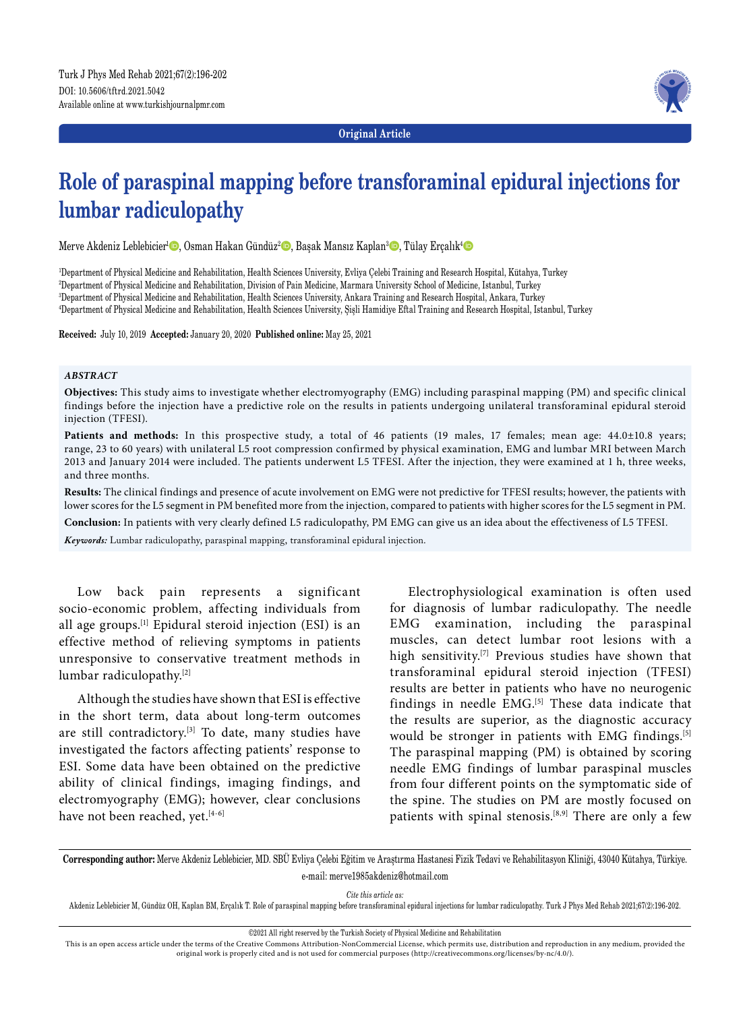

**Original Article**

# **Role of paraspinal mapping before transforaminal epidural injections for lumbar radiculopathy**

Merve Akdeniz Leblebicier<sup>ı</sup> D, Osman Hakan Gündüz<sup>2</sup> D, Başak Mansız Kaplan<sup>3</sup> D, Tülay Erçalık<sup>4</sup> D

 Department of Physical Medicine and Rehabilitation, Health Sciences University, Evliya Çelebi Training and Research Hospital, Kütahya, Turkey Department of Physical Medicine and Rehabilitation, Division of Pain Medicine, Marmara University School of Medicine, Istanbul, Turkey Department of Physical Medicine and Rehabilitation, Health Sciences University, Ankara Training and Research Hospital, Ankara, Turkey Department of Physical Medicine and Rehabilitation, Health Sciences University, Şişli Hamidiye Eftal Training and Research Hospital, Istanbul, Turkey

**Received:** July 10, 2019 **Accepted:** January 20, 2020 **Published online:** May 25, 2021

### *ABSTRACT*

**Objectives:** This study aims to investigate whether electromyography (EMG) including paraspinal mapping (PM) and specific clinical findings before the injection have a predictive role on the results in patients undergoing unilateral transforaminal epidural steroid injection (TFESI).

Patients and methods: In this prospective study, a total of 46 patients (19 males, 17 females; mean age: 44.0±10.8 years; range, 23 to 60 years) with unilateral L5 root compression confirmed by physical examination, EMG and lumbar MRI between March 2013 and January 2014 were included. The patients underwent L5 TFESI. After the injection, they were examined at 1 h, three weeks, and three months.

**Results:** The clinical findings and presence of acute involvement on EMG were not predictive for TFESI results; however, the patients with lower scores for the L5 segment in PM benefited more from the injection, compared to patients with higher scores for the L5 segment in PM. **Conclusion:** In patients with very clearly defined L5 radiculopathy, PM EMG can give us an idea about the effectiveness of L5 TFESI.

*Keywords:* Lumbar radiculopathy, paraspinal mapping, transforaminal epidural injection.

Low back pain represents a significant socio-economic problem, affecting individuals from all age groups.[1] Epidural steroid injection (ESI) is an effective method of relieving symptoms in patients unresponsive to conservative treatment methods in lumbar radiculopathy.[2]

Although the studies have shown that ESI is effective in the short term, data about long-term outcomes are still contradictory.<sup>[3]</sup> To date, many studies have investigated the factors affecting patients' response to ESI. Some data have been obtained on the predictive ability of clinical findings, imaging findings, and electromyography (EMG); however, clear conclusions have not been reached, yet.<sup>[4-6]</sup>

Electrophysiological examination is often used for diagnosis of lumbar radiculopathy. The needle EMG examination, including the paraspinal muscles, can detect lumbar root lesions with a high sensitivity.<sup>[7]</sup> Previous studies have shown that transforaminal epidural steroid injection (TFESI) results are better in patients who have no neurogenic findings in needle EMG.<sup>[5]</sup> These data indicate that the results are superior, as the diagnostic accuracy would be stronger in patients with EMG findings.<sup>[5]</sup> The paraspinal mapping (PM) is obtained by scoring needle EMG findings of lumbar paraspinal muscles from four different points on the symptomatic side of the spine. The studies on PM are mostly focused on patients with spinal stenosis.<sup>[8,9]</sup> There are only a few

**Corresponding author:** Merve Akdeniz Leblebicier, MD. SBÜ Evliya Çelebi Eğitim ve Araştırma Hastanesi Fizik Tedavi ve Rehabilitasyon Kliniği, 43040 Kütahya, Türkiye. e-mail: merve1985akdeniz@hotmail.com

*Cite this article as:*

Akdeniz Leblebicier M, Gündüz OH, Kaplan BM, Erçalık T. Role of paraspinal mapping before transforaminal epidural injections for lumbar radiculopathy. Turk J Phys Med Rehab 2021;67(2):196-202.

©2021 All right reserved by the Turkish Society of Physical Medicine and Rehabilitation

This is an open access article under the terms of the Creative Commons Attribution-NonCommercial License, which permits use, distribution and reproduction in any medium, provided the original work is properly cited and is not used for commercial purposes (http://creativecommons.org/licenses/by-nc/4.0/).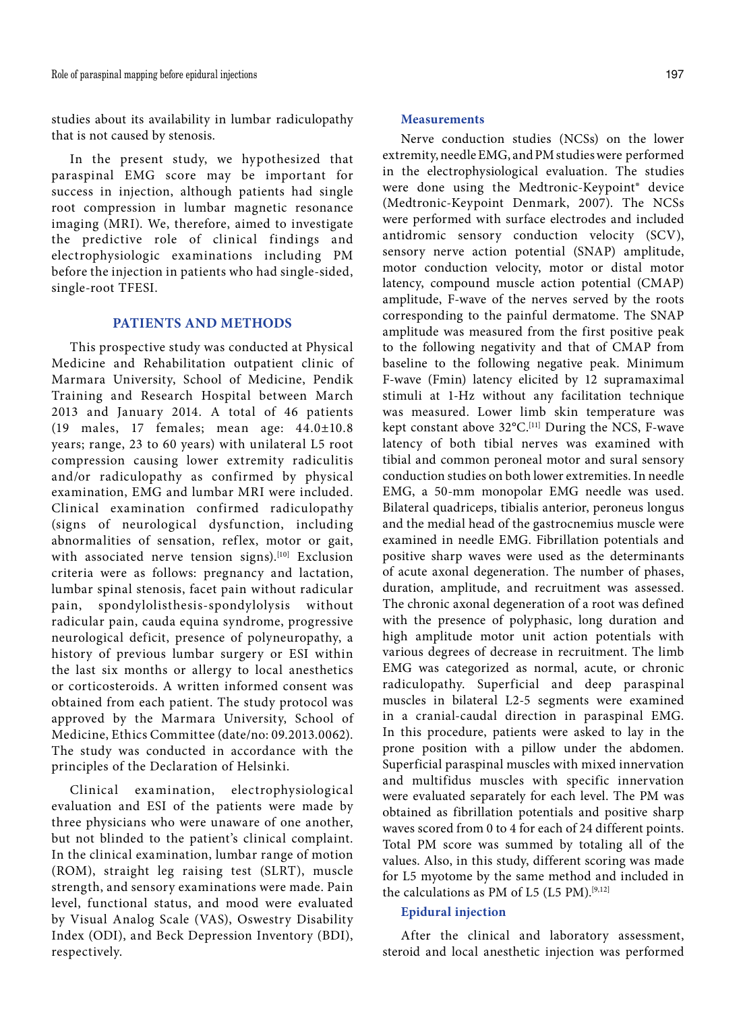studies about its availability in lumbar radiculopathy that is not caused by stenosis.

In the present study, we hypothesized that paraspinal EMG score may be important for success in injection, although patients had single root compression in lumbar magnetic resonance imaging (MRI). We, therefore, aimed to investigate the predictive role of clinical findings and electrophysiologic examinations including PM before the injection in patients who had single-sided, single-root TFESI.

# **PATIENTS AND METHODS**

This prospective study was conducted at Physical Medicine and Rehabilitation outpatient clinic of Marmara University, School of Medicine, Pendik Training and Research Hospital between March 2013 and January 2014. A total of 46 patients (19 males, 17 females; mean age: 44.0±10.8 years; range, 23 to 60 years) with unilateral L5 root compression causing lower extremity radiculitis and/or radiculopathy as confirmed by physical examination, EMG and lumbar MRI were included. Clinical examination confirmed radiculopathy (signs of neurological dysfunction, including abnormalities of sensation, reflex, motor or gait, with associated nerve tension signs).<sup>[10]</sup> Exclusion criteria were as follows: pregnancy and lactation, lumbar spinal stenosis, facet pain without radicular pain, spondylolisthesis-spondylolysis without radicular pain, cauda equina syndrome, progressive neurological deficit, presence of polyneuropathy, a history of previous lumbar surgery or ESI within the last six months or allergy to local anesthetics or corticosteroids. A written informed consent was obtained from each patient. The study protocol was approved by the Marmara University, School of Medicine, Ethics Committee (date/no: 09.2013.0062). The study was conducted in accordance with the principles of the Declaration of Helsinki.

Clinical examination, electrophysiological evaluation and ESI of the patients were made by three physicians who were unaware of one another, but not blinded to the patient's clinical complaint. In the clinical examination, lumbar range of motion (ROM), straight leg raising test (SLRT), muscle strength, and sensory examinations were made. Pain level, functional status, and mood were evaluated by Visual Analog Scale (VAS), Oswestry Disability Index (ODI), and Beck Depression Inventory (BDI), respectively.

#### **Measurements**

Nerve conduction studies (NCSs) on the lower extremity, needle EMG, and PM studies were performed in the electrophysiological evaluation. The studies were done using the Medtronic-Keypoint® device (Medtronic-Keypoint Denmark, 2007). The NCSs were performed with surface electrodes and included antidromic sensory conduction velocity (SCV), sensory nerve action potential (SNAP) amplitude, motor conduction velocity, motor or distal motor latency, compound muscle action potential (CMAP) amplitude, F-wave of the nerves served by the roots corresponding to the painful dermatome. The SNAP amplitude was measured from the first positive peak to the following negativity and that of CMAP from baseline to the following negative peak. Minimum F-wave (Fmin) latency elicited by 12 supramaximal stimuli at 1-Hz without any facilitation technique was measured. Lower limb skin temperature was kept constant above  $32^{\circ}$ C.<sup>[11]</sup> During the NCS, F-wave latency of both tibial nerves was examined with tibial and common peroneal motor and sural sensory conduction studies on both lower extremities. In needle EMG, a 50-mm monopolar EMG needle was used. Bilateral quadriceps, tibialis anterior, peroneus longus and the medial head of the gastrocnemius muscle were examined in needle EMG. Fibrillation potentials and positive sharp waves were used as the determinants of acute axonal degeneration. The number of phases, duration, amplitude, and recruitment was assessed. The chronic axonal degeneration of a root was defined with the presence of polyphasic, long duration and high amplitude motor unit action potentials with various degrees of decrease in recruitment. The limb EMG was categorized as normal, acute, or chronic radiculopathy. Superficial and deep paraspinal muscles in bilateral L2-5 segments were examined in a cranial-caudal direction in paraspinal EMG. In this procedure, patients were asked to lay in the prone position with a pillow under the abdomen. Superficial paraspinal muscles with mixed innervation and multifidus muscles with specific innervation were evaluated separately for each level. The PM was obtained as fibrillation potentials and positive sharp waves scored from 0 to 4 for each of 24 different points. Total PM score was summed by totaling all of the values. Also, in this study, different scoring was made for L5 myotome by the same method and included in the calculations as PM of L5 (L5 PM).<sup>[9,12]</sup>

# **Epidural injection**

After the clinical and laboratory assessment, steroid and local anesthetic injection was performed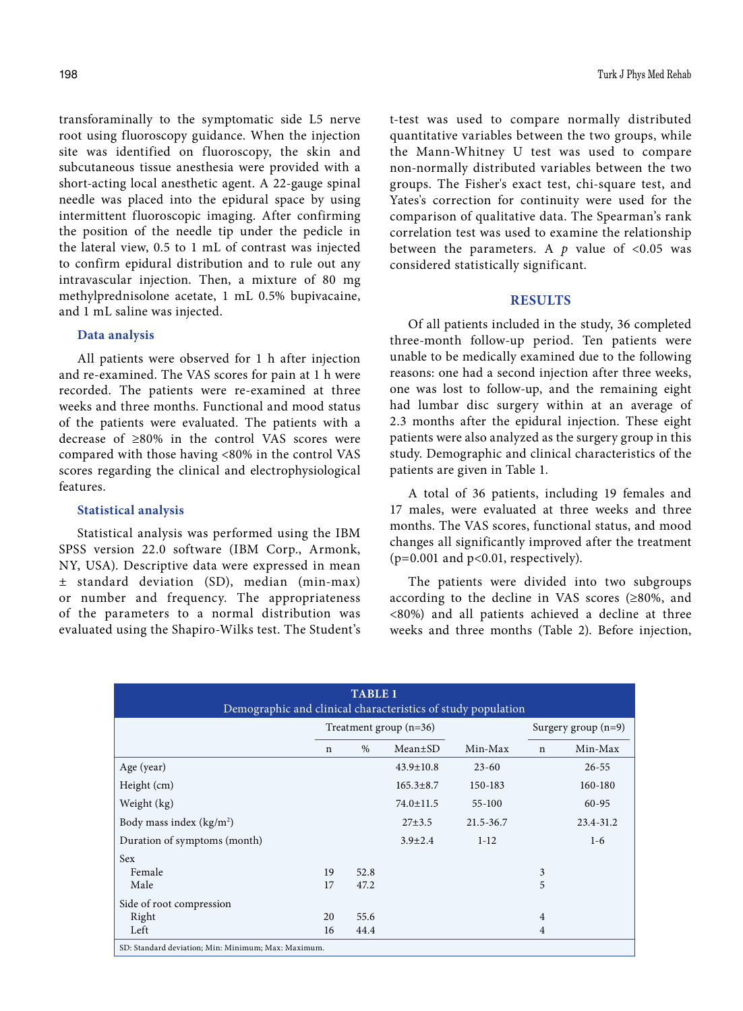transforaminally to the symptomatic side L5 nerve root using fluoroscopy guidance. When the injection site was identified on fluoroscopy, the skin and subcutaneous tissue anesthesia were provided with a short-acting local anesthetic agent. A 22-gauge spinal needle was placed into the epidural space by using intermittent fluoroscopic imaging. After confirming the position of the needle tip under the pedicle in the lateral view, 0.5 to 1 mL of contrast was injected to confirm epidural distribution and to rule out any intravascular injection. Then, a mixture of 80 mg methylprednisolone acetate, 1 mL 0.5% bupivacaine, and 1 mL saline was injected.

### **Data analysis**

All patients were observed for 1 h after injection and re-examined. The VAS scores for pain at 1 h were recorded. The patients were re-examined at three weeks and three months. Functional and mood status of the patients were evaluated. The patients with a decrease of ≥80% in the control VAS scores were compared with those having <80% in the control VAS scores regarding the clinical and electrophysiological features.

# **Statistical analysis**

Statistical analysis was performed using the IBM SPSS version 22.0 software (IBM Corp., Armonk, NY, USA). Descriptive data were expressed in mean ± standard deviation (SD), median (min-max) or number and frequency. The appropriateness of the parameters to a normal distribution was evaluated using the Shapiro-Wilks test. The Student's t-test was used to compare normally distributed quantitative variables between the two groups, while the Mann-Whitney U test was used to compare non-normally distributed variables between the two groups. The Fisher's exact test, chi-square test, and Yates's correction for continuity were used for the comparison of qualitative data. The Spearman's rank correlation test was used to examine the relationship between the parameters. A  $p$  value of <0.05 was considered statistically significant.

# **RESULTS**

Of all patients included in the study, 36 completed three-month follow-up period. Ten patients were unable to be medically examined due to the following reasons: one had a second injection after three weeks, one was lost to follow-up, and the remaining eight had lumbar disc surgery within at an average of 2.3 months after the epidural injection. These eight patients were also analyzed as the surgery group in this study. Demographic and clinical characteristics of the patients are given in Table 1.

A total of 36 patients, including 19 females and 17 males, were evaluated at three weeks and three months. The VAS scores, functional status, and mood changes all significantly improved after the treatment  $(p=0.001$  and  $p<0.01$ , respectively).

The patients were divided into two subgroups according to the decline in VAS scores (≥80%, and <80%) and all patients achieved a decline at three weeks and three months (Table 2). Before injection,

| <b>TABLE 1</b><br>Demographic and clinical characteristics of study population |                          |      |                 |           |                       |               |  |  |  |  |  |
|--------------------------------------------------------------------------------|--------------------------|------|-----------------|-----------|-----------------------|---------------|--|--|--|--|--|
|                                                                                | Treatment group $(n=36)$ |      |                 |           | Surgery group $(n=9)$ |               |  |  |  |  |  |
|                                                                                | $\mathbf n$              | $\%$ | $Mean \pm SD$   | $Min-Max$ | $\mathbf n$           | Min-Max       |  |  |  |  |  |
| Age (year)                                                                     |                          |      | $43.9 \pm 10.8$ | $23 - 60$ |                       | $26 - 55$     |  |  |  |  |  |
| Height (cm)                                                                    |                          |      | $165.3 \pm 8.7$ | 150-183   |                       | 160-180       |  |  |  |  |  |
| Weight (kg)                                                                    |                          |      | $74.0 \pm 11.5$ | 55-100    |                       | 60-95         |  |  |  |  |  |
| Body mass index $(kg/m2)$                                                      |                          |      | $27 + 3.5$      | 21.5-36.7 |                       | $23.4 - 31.2$ |  |  |  |  |  |
| Duration of symptoms (month)                                                   |                          |      | $3.9 \pm 2.4$   | $1 - 12$  |                       | $1-6$         |  |  |  |  |  |
| Sex                                                                            |                          |      |                 |           |                       |               |  |  |  |  |  |
| Female                                                                         | 19                       | 52.8 |                 |           | 3                     |               |  |  |  |  |  |
| Male                                                                           | 17                       | 47.2 |                 |           | 5                     |               |  |  |  |  |  |
| Side of root compression                                                       |                          |      |                 |           |                       |               |  |  |  |  |  |
| Right                                                                          | 20                       | 55.6 |                 |           | $\overline{4}$        |               |  |  |  |  |  |
| Left                                                                           | 16                       | 44.4 |                 |           | 4                     |               |  |  |  |  |  |
| SD: Standard deviation; Min: Minimum; Max: Maximum.                            |                          |      |                 |           |                       |               |  |  |  |  |  |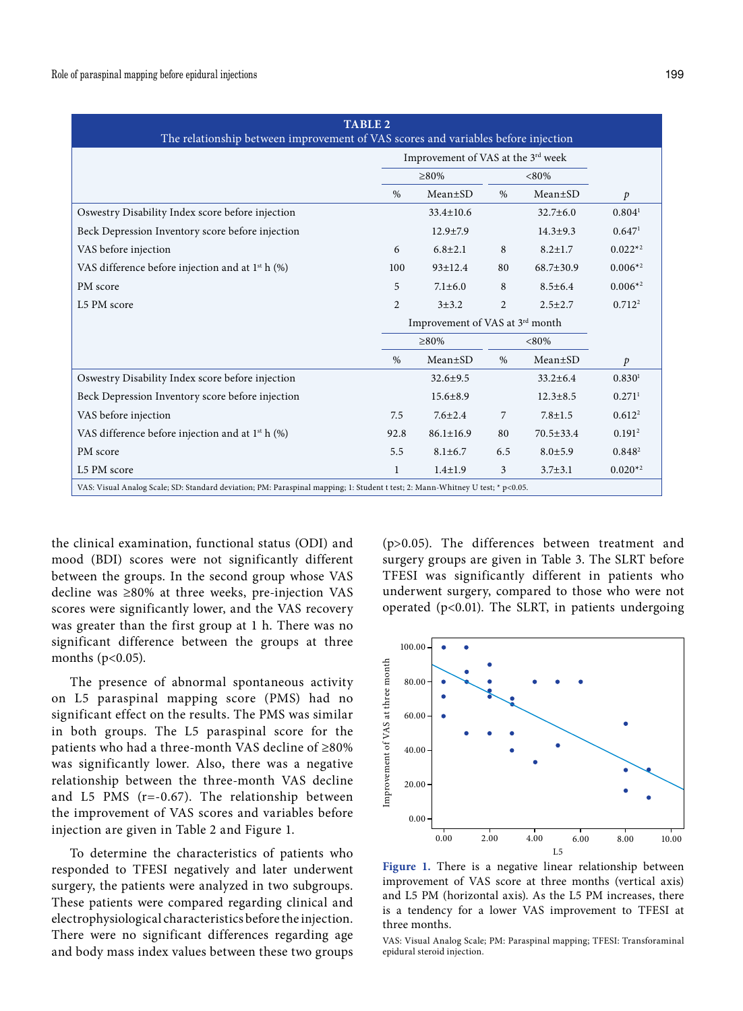| <b>TABLE 2</b><br>The relationship between improvement of VAS scores and variables before injection                            |      |                                    |                |                 |                      |  |  |  |  |
|--------------------------------------------------------------------------------------------------------------------------------|------|------------------------------------|----------------|-----------------|----------------------|--|--|--|--|
|                                                                                                                                |      | Improvement of VAS at the 3rd week |                |                 |                      |  |  |  |  |
|                                                                                                                                |      | $\geq 80\%$                        |                | $< 80\%$        |                      |  |  |  |  |
|                                                                                                                                | $\%$ | $Mean \pm SD$                      | $\%$           | $Mean \pm SD$   | $\mathcal{P}$        |  |  |  |  |
| Oswestry Disability Index score before injection                                                                               |      | $33.4 \pm 10.6$                    |                | $32.7 \pm 6.0$  | 0.804 <sup>1</sup>   |  |  |  |  |
| Beck Depression Inventory score before injection                                                                               |      | $12.9 \pm 7.9$                     |                | $14.3 \pm 9.3$  | 0.647 <sup>1</sup>   |  |  |  |  |
| VAS before injection                                                                                                           | 6    | $6.8 \pm 2.1$                      | 8              | $8.2 \pm 1.7$   | $0.022**2$           |  |  |  |  |
| VAS difference before injection and at 1 <sup>st</sup> h (%)                                                                   | 100  | $93 \pm 12.4$                      | 80             | $68.7 \pm 30.9$ | $0.006*2$            |  |  |  |  |
| PM score                                                                                                                       | 5    | $7.1 \pm 6.0$                      | 8              | $8.5 \pm 6.4$   | $0.006*2$            |  |  |  |  |
| L5 PM score                                                                                                                    | 2    | $3 + 3.2$                          | $\overline{2}$ | $2.5 \pm 2.7$   | $0.712^2$            |  |  |  |  |
|                                                                                                                                |      | Improvement of VAS at 3rd month    |                |                 |                      |  |  |  |  |
|                                                                                                                                |      | $\geq 80\%$                        |                | $< 80\%$        |                      |  |  |  |  |
|                                                                                                                                | $\%$ | $Mean \pm SD$                      | $\%$           | $Mean \pm SD$   | $\mathcal{P}$        |  |  |  |  |
| Oswestry Disability Index score before injection                                                                               |      | $32.6 \pm 9.5$                     |                | $33.2 \pm 6.4$  | 0.830 <sup>1</sup>   |  |  |  |  |
| Beck Depression Inventory score before injection                                                                               |      | $15.6 \pm 8.9$                     |                | $12.3 \pm 8.5$  | $0.271$ <sup>1</sup> |  |  |  |  |
| VAS before injection                                                                                                           | 7.5  | $7.6 \pm 2.4$                      | 7              | $7.8 \pm 1.5$   | 0.612 <sup>2</sup>   |  |  |  |  |
| VAS difference before injection and at $1st$ h (%)                                                                             | 92.8 | $86.1 \pm 16.9$                    | 80             | $70.5 \pm 33.4$ | 0.191 <sup>2</sup>   |  |  |  |  |
| PM score                                                                                                                       | 5.5  | $8.1 \pm 6.7$                      | 6.5            | $8.0 \pm 5.9$   | $0.848^{2}$          |  |  |  |  |
| L5 PM score                                                                                                                    | 1    | $1.4 \pm 1.9$                      | 3              | $3.7 \pm 3.1$   | $0.020^{*2}$         |  |  |  |  |
| VAS: Visual Analog Scale; SD: Standard deviation; PM: Paraspinal mapping; 1: Student t test; 2: Mann-Whitney U test; * p<0.05. |      |                                    |                |                 |                      |  |  |  |  |

the clinical examination, functional status (ODI) and mood (BDI) scores were not significantly different between the groups. In the second group whose VAS decline was ≥80% at three weeks, pre-injection VAS scores were significantly lower, and the VAS recovery was greater than the first group at 1 h. There was no significant difference between the groups at three months ( $p<0.05$ ).

The presence of abnormal spontaneous activity on L5 paraspinal mapping score (PMS) had no significant effect on the results. The PMS was similar in both groups. The L5 paraspinal score for the patients who had a three-month VAS decline of ≥80% was significantly lower. Also, there was a negative relationship between the three-month VAS decline and L5 PMS (r=-0.67). The relationship between the improvement of VAS scores and variables before injection are given in Table 2 and Figure 1.

To determine the characteristics of patients who responded to TFESI negatively and later underwent surgery, the patients were analyzed in two subgroups. These patients were compared regarding clinical and electrophysiological characteristics before the injection. There were no significant differences regarding age and body mass index values between these two groups (p>0.05). The differences between treatment and surgery groups are given in Table 3. The SLRT before TFESI was significantly different in patients who underwent surgery, compared to those who were not operated (p<0.01). The SLRT, in patients undergoing



**Figure 1.** There is a negative linear relationship between improvement of VAS score at three months (vertical axis) and L5 PM (horizontal axis). As the L5 PM increases, there is a tendency for a lower VAS improvement to TFESI at three months.

VAS: Visual Analog Scale; PM: Paraspinal mapping; TFESI: Transforaminal epidural steroid injection.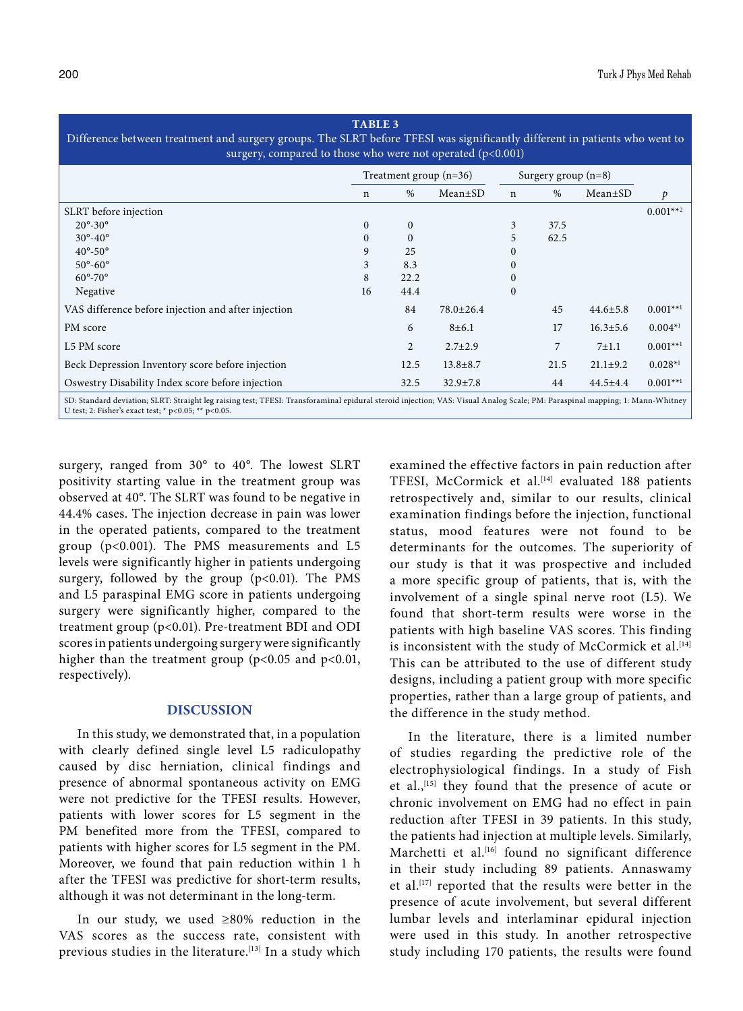#### **TABLE 3** Difference between treatment and surgery groups. The SLRT before TFESI was significantly different in patients who went to surgery, compared to those who were not operated (p<0.001) Treatment group (n=36) Surgery group (n=8) n % Mean±SD n % Mean±SD *p* SLRT before injection 20°-30° 30°-40° 40°-50° 50°-60° 60°-70° Negative  $\Omega$  $\theta$  $\circ$ 3 8 16  $\Omega$  $\Omega$  $25$  $8.3$  $22.2$ 44.4 3 5  $\theta$  $\theta$  $\theta$  $\Omega$ 37.5 62.5  $0.001***^2$ VAS difference before injection and after injection  $84$   $78.0\pm26.4$   $45$   $44.6\pm5.8$   $0.001**1$ PM score 6 8 $\pm 6.1$  17  $16.3\pm 5.6$  0.004<sup>\*1</sup> L5 PM score 2 2.7 $\pm$ 2.9 7 7 $\pm$ 1.1 0.001 $*$ <sup>1</sup> Beck Depression Inventory score before injection 12.5 13.8±8.7 21.5 21.1±9.2 0.028\*1 Oswestry Disability Index score before injection 32.5 32.9±7.8 44 44.5±4.4 0.001\*\*1

SD: Standard deviation; SLRT: Straight leg raising test; TFESI: Transforaminal epidural steroid injection; VAS: Visual Analog Scale; PM: Paraspinal mapping; 1: Mann-Whitney U test; 2: Fisher's exact test; \*  $p<0.05$ ; \*\*  $p<0.05$ .

surgery, ranged from 30° to 40°. The lowest SLRT positivity starting value in the treatment group was observed at 40°. The SLRT was found to be negative in 44.4% cases. The injection decrease in pain was lower in the operated patients, compared to the treatment group (p<0.001). The PMS measurements and L5 levels were significantly higher in patients undergoing surgery, followed by the group  $(p<0.01)$ . The PMS and L5 paraspinal EMG score in patients undergoing surgery were significantly higher, compared to the treatment group (p<0.01). Pre-treatment BDI and ODI scores in patients undergoing surgery were significantly higher than the treatment group ( $p$ <0.05 and  $p$ <0.01, respectively).

# **DISCUSSION**

In this study, we demonstrated that, in a population with clearly defined single level L5 radiculopathy caused by disc herniation, clinical findings and presence of abnormal spontaneous activity on EMG were not predictive for the TFESI results. However, patients with lower scores for L5 segment in the PM benefited more from the TFESI, compared to patients with higher scores for L5 segment in the PM. Moreover, we found that pain reduction within 1 h after the TFESI was predictive for short-term results, although it was not determinant in the long-term.

In our study, we used ≥80% reduction in the VAS scores as the success rate, consistent with previous studies in the literature.<sup>[13]</sup> In a study which examined the effective factors in pain reduction after TFESI, McCormick et al.<sup>[14]</sup> evaluated 188 patients retrospectively and, similar to our results, clinical examination findings before the injection, functional status, mood features were not found to be determinants for the outcomes. The superiority of our study is that it was prospective and included a more specific group of patients, that is, with the involvement of a single spinal nerve root (L5). We found that short-term results were worse in the patients with high baseline VAS scores. This finding is inconsistent with the study of McCormick et al.<sup>[14]</sup> This can be attributed to the use of different study designs, including a patient group with more specific properties, rather than a large group of patients, and the difference in the study method.

In the literature, there is a limited number of studies regarding the predictive role of the electrophysiological findings. In a study of Fish et al.,[15] they found that the presence of acute or chronic involvement on EMG had no effect in pain reduction after TFESI in 39 patients. In this study, the patients had injection at multiple levels. Similarly, Marchetti et al.<sup>[16]</sup> found no significant difference in their study including 89 patients. Annaswamy et al.[17] reported that the results were better in the presence of acute involvement, but several different lumbar levels and interlaminar epidural injection were used in this study. In another retrospective study including 170 patients, the results were found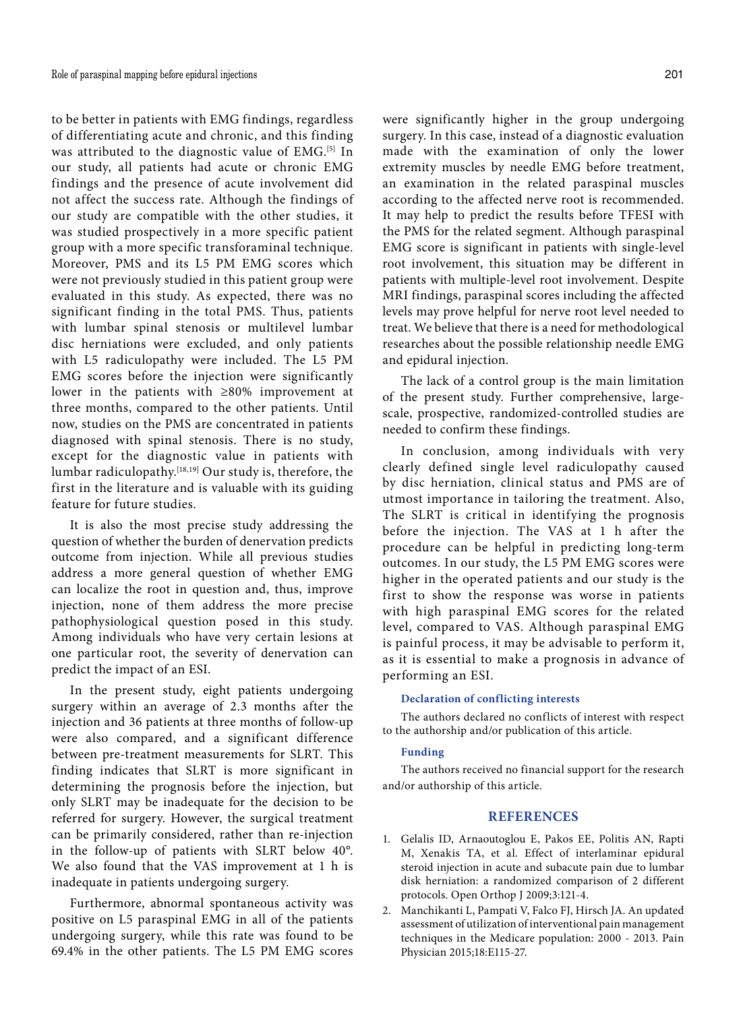to be better in patients with EMG findings, regardless of differentiating acute and chronic, and this finding was attributed to the diagnostic value of EMG.<sup>[5]</sup> In our study, all patients had acute or chronic EMG findings and the presence of acute involvement did not affect the success rate. Although the findings of our study are compatible with the other studies, it was studied prospectively in a more specific patient group with a more specific transforaminal technique. Moreover, PMS and its L5 PM EMG scores which were not previously studied in this patient group were evaluated in this study. As expected, there was no significant finding in the total PMS. Thus, patients with lumbar spinal stenosis or multilevel lumbar disc herniations were excluded, and only patients with L5 radiculopathy were included. The L5 PM EMG scores before the injection were significantly lower in the patients with ≥80% improvement at three months, compared to the other patients. Until now, studies on the PMS are concentrated in patients diagnosed with spinal stenosis. There is no study, except for the diagnostic value in patients with lumbar radiculopathy.[18,19] Our study is, therefore, the first in the literature and is valuable with its guiding feature for future studies.

It is also the most precise study addressing the question of whether the burden of denervation predicts outcome from injection. While all previous studies address a more general question of whether EMG can localize the root in question and, thus, improve injection, none of them address the more precise pathophysiological question posed in this study. Among individuals who have very certain lesions at one particular root, the severity of denervation can predict the impact of an ESI.

In the present study, eight patients undergoing surgery within an average of 2.3 months after the injection and 36 patients at three months of follow-up were also compared, and a significant difference between pre-treatment measurements for SLRT. This finding indicates that SLRT is more significant in determining the prognosis before the injection, but only SLRT may be inadequate for the decision to be referred for surgery. However, the surgical treatment can be primarily considered, rather than re-injection in the follow-up of patients with SLRT below 40°. We also found that the VAS improvement at 1 h is inadequate in patients undergoing surgery.

Furthermore, abnormal spontaneous activity was positive on L5 paraspinal EMG in all of the patients undergoing surgery, while this rate was found to be 69.4% in the other patients. The L5 PM EMG scores were significantly higher in the group undergoing surgery. In this case, instead of a diagnostic evaluation made with the examination of only the lower extremity muscles by needle EMG before treatment, an examination in the related paraspinal muscles according to the affected nerve root is recommended. It may help to predict the results before TFESI with the PMS for the related segment. Although paraspinal EMG score is significant in patients with single-level root involvement, this situation may be different in patients with multiple-level root involvement. Despite MRI findings, paraspinal scores including the affected levels may prove helpful for nerve root level needed to treat. We believe that there is a need for methodological researches about the possible relationship needle EMG and epidural injection.

The lack of a control group is the main limitation of the present study. Further comprehensive, largescale, prospective, randomized-controlled studies are needed to confirm these findings.

In conclusion, among individuals with very clearly defined single level radiculopathy caused by disc herniation, clinical status and PMS are of utmost importance in tailoring the treatment. Also, The SLRT is critical in identifying the prognosis before the injection. The VAS at 1 h after the procedure can be helpful in predicting long-term outcomes. In our study, the L5 PM EMG scores were higher in the operated patients and our study is the first to show the response was worse in patients with high paraspinal EMG scores for the related level, compared to VAS. Although paraspinal EMG is painful process, it may be advisable to perform it, as it is essential to make a prognosis in advance of performing an ESI.

#### **Declaration of conflicting interests**

The authors declared no conflicts of interest with respect to the authorship and/or publication of this article.

#### **Funding**

The authors received no financial support for the research and/or authorship of this article.

# **REFERENCES**

- 1. Gelalis ID, Arnaoutoglou E, Pakos EE, Politis AN, Rapti M, Xenakis TA, et al. Effect of interlaminar epidural steroid injection in acute and subacute pain due to lumbar disk herniation: a randomized comparison of 2 different protocols. Open Orthop J 2009;3:121-4.
- 2. Manchikanti L, Pampati V, Falco FJ, Hirsch JA. An updated assessment of utilization of interventional pain management techniques in the Medicare population: 2000 - 2013. Pain Physician 2015;18:E115-27.